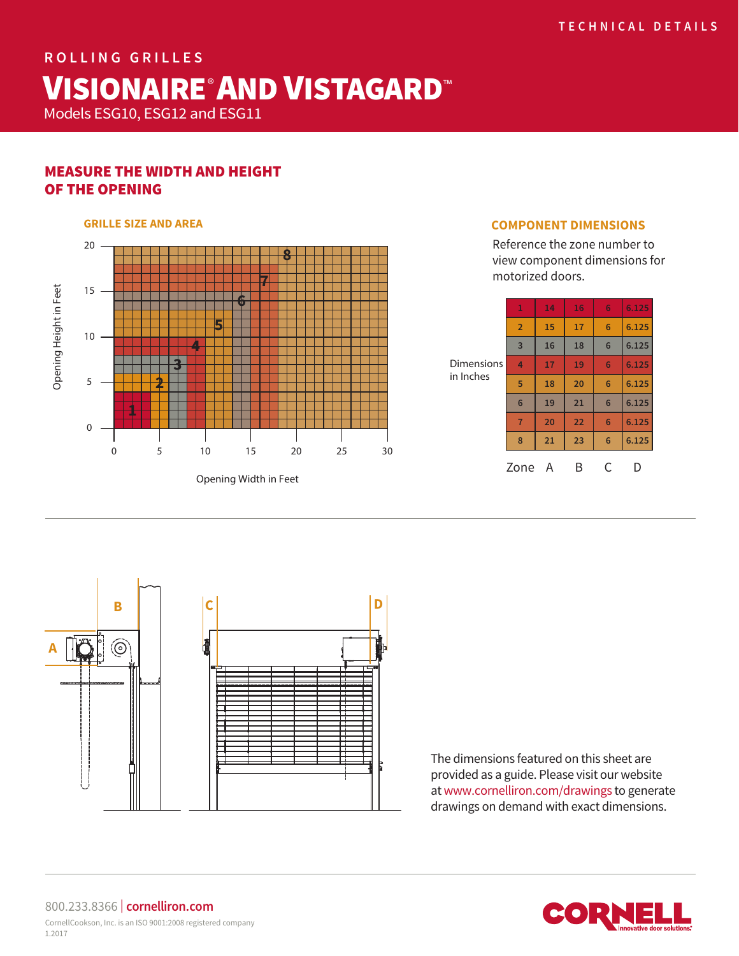# **ROLLING GRILLES** VISIONAIRE®AND VISTAGARD™

Models ESG10, ESG12 and ESG11

# MEASURE THE WIDTH AND HEIGHT OF THE OPENING

## 20 **8 7** Opening Height in Feet 15 Opening Height in Feet **6 5** 10 **4 3 2** 5 **1**  $\Omega$ 0 5 10 15 20 25 30

Opening Width in Feet

### **GRILLE SIZE AND AREA COMPONENT DIMENSIONS**

Reference the zone number to view component dimensions for motorized doors.

| <b>Dimensions</b><br>in Inches | 1               | 14 | 16 | 6 | 6.125 |
|--------------------------------|-----------------|----|----|---|-------|
|                                | $\overline{2}$  | 15 | 17 | 6 | 6.125 |
|                                | 3               | 16 | 18 | 6 | 6.125 |
|                                | 4               | 17 | 19 | 6 | 6.125 |
|                                | 5               | 18 | 20 | 6 | 6.125 |
|                                | $6\phantom{1}6$ | 19 | 21 | 6 | 6.125 |
|                                | $\overline{7}$  | 20 | 22 | 6 | 6.125 |
|                                | 8               | 21 | 23 | 6 | 6.125 |
|                                | Zone            | A  | В  | C |       |



The dimensions featured on this sheet are provided as a guide. Please visit our website at www.cornelliron.com/drawings to generate drawings on demand with exact dimensions.